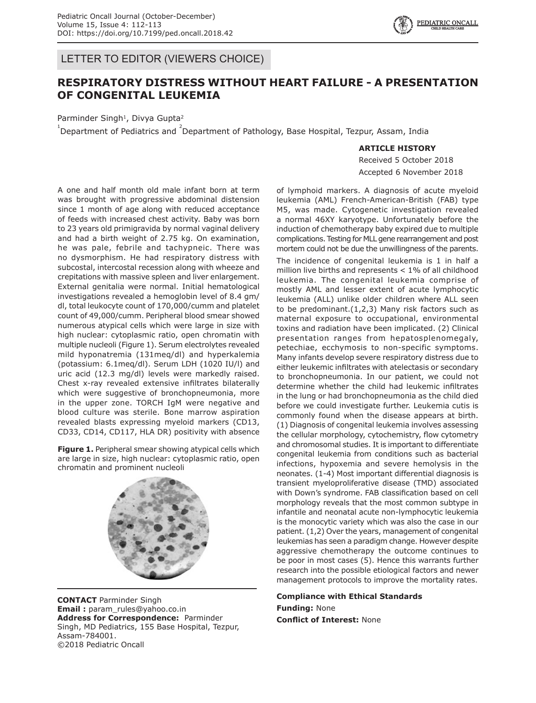$\left\{ \begin{array}{c} \sqrt{2} \\ \sqrt{3} \end{array} \right\}$  FEDIATROUS CALL  $\left\{ \begin{array}{c} \sqrt{2} \\ \sqrt{4} \end{array} \right\}$ 

LETTER TO EDITOR (VIEWERS CHOICE)

## **RESPIRATORY DISTRESS WITHOUT HEART FAILURE - A PRESENTATION OF CONGENITAL LEUKEMIA**

Parminder Singh<sup>1</sup>, Divya Gupta<sup>2</sup>

 $^{1}$ Department of Pediatrics and  $^{2}$ Department of Pathology, Base Hospital, Tezpur, Assam, India

## **ARTICLE HISTORY**

Received 5 October 2018 Accepted 6 November 2018

A one and half month old male infant born at term was brought with progressive abdominal distension since 1 month of age along with reduced acceptance of feeds with increased chest activity. Baby was born to 23 years old primigravida by normal vaginal delivery and had a birth weight of 2.75 kg. On examination, he was pale, febrile and tachypneic. There was no dysmorphism. He had respiratory distress with subcostal, intercostal recession along with wheeze and crepitations with massive spleen and liver enlargement. External genitalia were normal. Initial hematological investigations revealed a hemoglobin level of 8.4 gm/ dl, total leukocyte count of 170,000/cumm and platelet count of 49,000/cumm. Peripheral blood smear showed numerous atypical cells which were large in size with high nuclear: cytoplasmic ratio, open chromatin with multiple nucleoli (Figure 1). Serum electrolytes revealed mild hyponatremia (131meq/dl) and hyperkalemia (potassium: 6.1meq/dl). Serum LDH (1020 IU/l) and uric acid (12.3 mg/dl) levels were markedly raised. Chest x-ray revealed extensive infiltrates bilaterally which were suggestive of bronchopneumonia, more in the upper zone. TORCH IgM were negative and blood culture was sterile. Bone marrow aspiration revealed blasts expressing myeloid markers (CD13, CD33, CD14, CD117, HLA DR) positivity with absence

**Figure 1.** Peripheral smear showing atypical cells which are large in size, high nuclear: cytoplasmic ratio, open chromatin and prominent nucleoli



**CONTACT** Parminder Singh **Email :** param\_rules@yahoo.co.in **Address for Correspondence:** Parminder Singh, MD Pediatrics, 155 Base Hospital, Tezpur, Assam-784001. ©2018 Pediatric Oncall

of lymphoid markers. A diagnosis of acute myeloid leukemia (AML) French-American-British (FAB) type M5, was made. Cytogenetic investigation revealed a normal 46XY karyotype. Unfortunately before the induction of chemotherapy baby expired due to multiple complications. Testing for MLL gene rearrangement and post mortem could not be due the unwillingness of the parents. The incidence of congenital leukemia is 1 in half a million live births and represents < 1% of all childhood leukemia. The congenital leukemia comprise of mostly AML and lesser extent of acute lymphocytic leukemia (ALL) unlike older children where ALL seen to be predominant.(1,2,3) Many risk factors such as maternal exposure to occupational, environmental toxins and radiation have been implicated. (2) Clinical presentation ranges from hepatosplenomegaly, petechiae, ecchymosis to non-specific symptoms. Many infants develop severe respiratory distress due to either leukemic infiltrates with atelectasis or secondary to bronchopneumonia. In our patient, we could not determine whether the child had leukemic infiltrates in the lung or had bronchopneumonia as the child died before we could investigate further. Leukemia cutis is commonly found when the disease appears at birth. (1) Diagnosis of congenital leukemia involves assessing the cellular morphology, cytochemistry, flow cytometry and chromosomal studies. It is important to differentiate congenital leukemia from conditions such as bacterial infections, hypoxemia and severe hemolysis in the neonates. (1-4) Most important differential diagnosis is transient myeloproliferative disease (TMD) associated with Down's syndrome. FAB classification based on cell morphology reveals that the most common subtype in infantile and neonatal acute non-lymphocytic leukemia is the monocytic variety which was also the case in our patient. (1,2) Over the years, management of congenital leukemias has seen a paradigm change. However despite aggressive chemotherapy the outcome continues to be poor in most cases (5). Hence this warrants further research into the possible etiological factors and newer management protocols to improve the mortality rates.

## **Compliance with Ethical Standards Funding:** None

**Conflict of Interest:** None